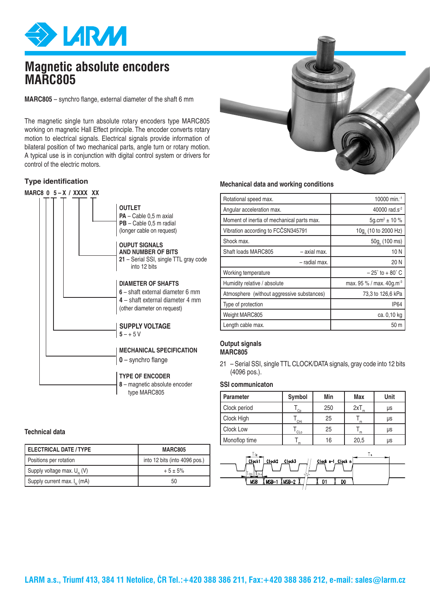

## **Magnetic absolute encoders MARC805**

**MARC805** – synchro flange, external diameter of the shaft 6 mm

The magnetic single turn absolute rotary encoders type MARC805 working on magnetic Hall Effect principle. The encoder converts rotary motion to electrical signals. Electrical signals provide information of bilateral position of two mechanical parts, angle turn or rotary motion. A typical use is in conjunction with digital control system or drivers for control of the electric motors.

## **Type identification**



## **Technical data**

| I ELECTRICAL DATE / TYPE         | <b>MARC805</b>                |  |  |
|----------------------------------|-------------------------------|--|--|
| Positions per rotation           | into 12 bits (into 4096 pos.) |  |  |
| Supply voltage max. $U_{N}$ (V)  | $+5 \pm 5\%$                  |  |  |
| Supply current max. $I_{N}$ (mA) | 50                            |  |  |



## **Mechanical data and working conditions**

| Rotational speed max.                      | 10000 min. <sup>-1</sup>             |
|--------------------------------------------|--------------------------------------|
| Angular acceleration max.                  | 40000 rad.s <sup>-2</sup>            |
| Moment of inertia of mechanical parts max. | 5q.cm <sup>2</sup> $\pm$ 10 %        |
| Vibration according to FCČSN345791         | 10g (10 to 2000 Hz)                  |
| Shock max.                                 | $50g$ (100 ms)                       |
| Shaft loads MARC805<br>- axial max.        | 10N                                  |
| - radial max.                              | 20N                                  |
| Working temperature                        | $-25^{\circ}$ to $+80^{\circ}$ C     |
| Humidity relative / absolute               | max. 95 % / max. 40g.m <sup>-3</sup> |
| Atmosphere (without aggressive substances) | 73,3 to 126,6 kPa                    |
| Type of protection                         | <b>IP64</b>                          |
| Weight MARC805                             | ca. 0,10 kg                          |
| Length cable max.                          | 50 m                                 |

#### **Output signals MARC805**

21 – Serial SSI, single TTL CLOCK/DATA signals, gray code into 12 bits (4096 pos.).

### **SSI communicaton**

| <b>Parameter</b> | Symbol | Min | Max  | Unit |
|------------------|--------|-----|------|------|
| Clock period     | Cp     | 250 | 2xT  | μs   |
| Clock High       | CHi    | 25  | m    | μs   |
| Clock Low        | CLo    | 25  | m    | μs   |
| Monoflop time    |        | 16  | 20,5 | μs   |